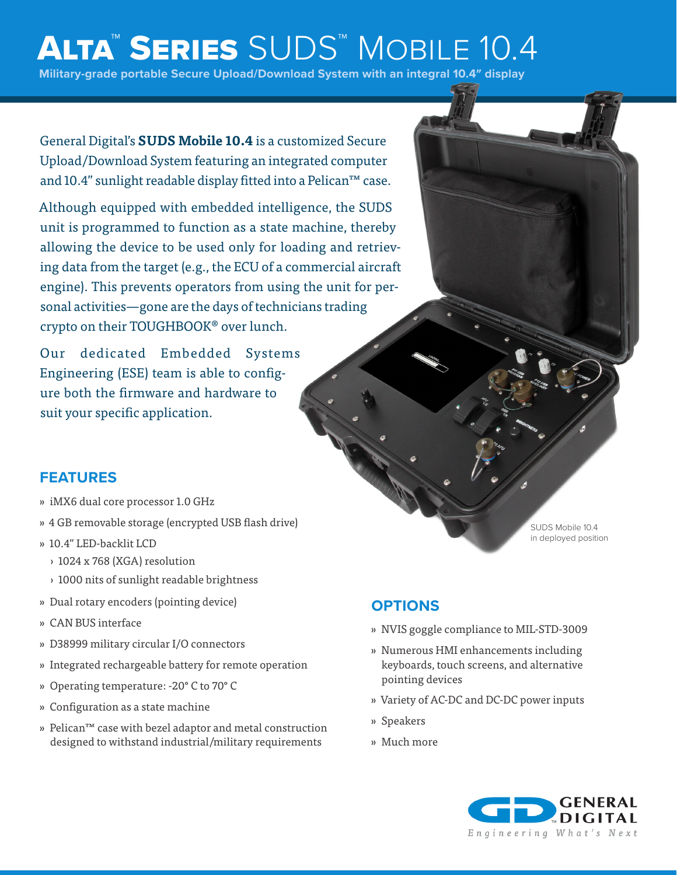# ALTA™ SERIES SUDS™ MOBILE 10.4

**Military-grade portable Secure Upload/Download System with an integral 10.4″ display**

General Digital's **SUDS Mobile 10.4** is a customized Secure Upload/Download System featuring an integrated computer and 10.4" sunlight readable display fitted into a Pelican™ case.

Although equipped with embedded intelligence, the SUDS unit is programmed to function as a state machine, thereby allowing the device to be used only for loading and retrieving data from the target (e.g., the ECU of a commercial aircraft engine). This prevents operators from using the unit for personal activities—gone are the days of technicians trading crypto on their TOUGHBOOK® over lunch.

Our dedicated Embedded Systems Engineering (ESE) team is able to configure both the firmware and hardware to suit your specific application.

#### **FEATURES**

- » iMX6 dual core processor 1.0 GHz
- » 4 GB removable storage (encrypted USB flash drive)
- » 10.4" LED-backlit LCD
	- › 1024 x 768 (XGA) resolution
	- › 1000 nits of sunlight readable brightness
- » Dual rotary encoders (pointing device)
- » CAN BUS interface
- » D38999 military circular I/O connectors
- » Integrated rechargeable battery for remote operation
- » Operating temperature: -20° C to 70° C
- » Configuration as a state machine
- » Pelican™ case with bezel adaptor and metal construction designed to withstand industrial/military requirements

### **OPTIONS**

- » NVIS goggle compliance to MIL-STD-3009
- » Numerous HMI enhancements including keyboards, touch screens, and alternative pointing devices
- » Variety of AC-DC and DC-DC power inputs
- » Speakers
- » Much more



SUDS Mobile 10.4 in deployed position